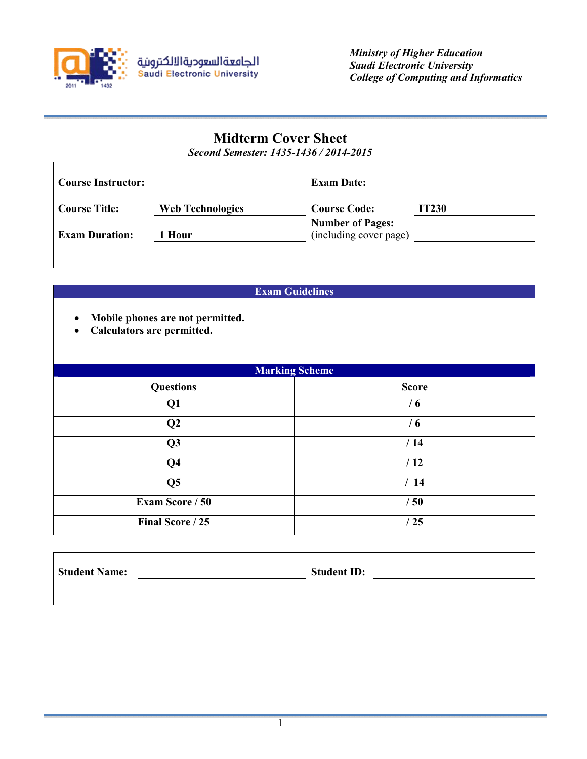

# **Midterm Cover Sheet**

*Second Semester: 1435-1436 / 2014-2015*

| <b>Course Instructor:</b> |                         | <b>Exam Date:</b>                                 |              |
|---------------------------|-------------------------|---------------------------------------------------|--------------|
| <b>Course Title:</b>      | <b>Web Technologies</b> | <b>Course Code:</b>                               | <b>IT230</b> |
| <b>Exam Duration:</b>     | l Hour                  | <b>Number of Pages:</b><br>(including cover page) |              |

## **Exam Guidelines**

- **Mobile phones are not permitted.**
- **Calculators are permitted.**

| <b>Marking Scheme</b>  |              |  |
|------------------------|--------------|--|
| <b>Questions</b>       | <b>Score</b> |  |
| Q1                     | /6           |  |
| $\bf Q2$               | / 6          |  |
| Q <sub>3</sub>         | /14          |  |
| Q <sub>4</sub>         | /12          |  |
| Q <sub>5</sub>         | /14          |  |
| <b>Exam Score / 50</b> | /50          |  |
| Final Score / 25       | /25          |  |

| <b>Student Name:</b> | <b>Student ID:</b> |
|----------------------|--------------------|
|                      |                    |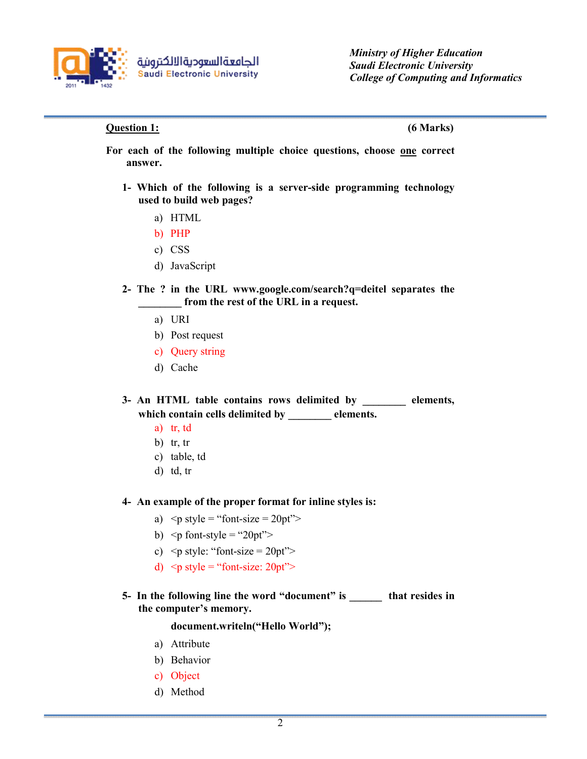

### **Question 1: (6 Marks)**

- **For each of the following multiple choice questions, choose one correct answer.**
	- **1- Which of the following is a server-side programming technology used to build web pages?**
		- a) HTML
		- b) PHP
		- c) CSS
		- d) JavaScript
	- **2- The ? in the URL www.google.com/search?q=deitel separates the \_\_\_\_\_\_\_\_ from the rest of the URL in a request.** 
		- a) URI
		- b) Post request
		- c) Query string
		- d) Cache

**3- An HTML table contains rows delimited by \_\_\_\_\_\_\_\_ elements, which contain cells delimited by \_\_\_\_\_\_\_\_ elements.**

- a) tr, td
- b)  $tr, tr$
- c) table, td
- d) td, tr

#### **4- An example of the proper format for inline styles is:**

- a)  $\leq p$  style = "font-size = 20pt">
- b)  $\leq p$  font-style = "20pt">
- c)  $\leq p$  style: "font-size = 20pt">
- d)  $\leq p$  style = "font-size: 20pt">
- **5- In the following line the word "document" is \_\_\_\_\_\_ that resides in the computer's memory.**

#### **document.writeln("Hello World");**

- a) Attribute
- b) Behavior
- c) Object
- d) Method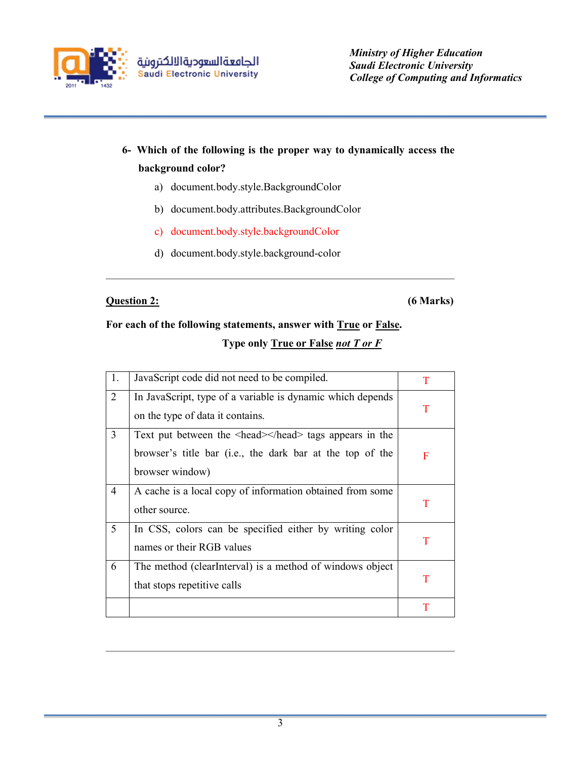

# **6- Which of the following is the proper way to dynamically access the background color?**

- a) document.body.style.BackgroundColor
- b) document.body.attributes.BackgroundColor
- c) document.body.style.backgroundColor
- d) document.body.style.background-color

## **Question 2: (6 Marks)**

# **For each of the following statements, answer with True or False. Type only True or False** *not T or F*

| 1. | JavaScript code did not need to be compiled.                                                                                           | T |
|----|----------------------------------------------------------------------------------------------------------------------------------------|---|
| 2  | In JavaScript, type of a variable is dynamic which depends<br>on the type of data it contains.                                         | T |
| 3  | Text put between the <head></head> tags appears in the<br>browser's title bar (i.e., the dark bar at the top of the<br>browser window) | F |
| 4  | A cache is a local copy of information obtained from some<br>other source.                                                             | T |
| 5  | In CSS, colors can be specified either by writing color<br>names or their RGB values                                                   | T |
| 6  | The method (clear Interval) is a method of windows object<br>that stops repetitive calls                                               | T |
|    |                                                                                                                                        | T |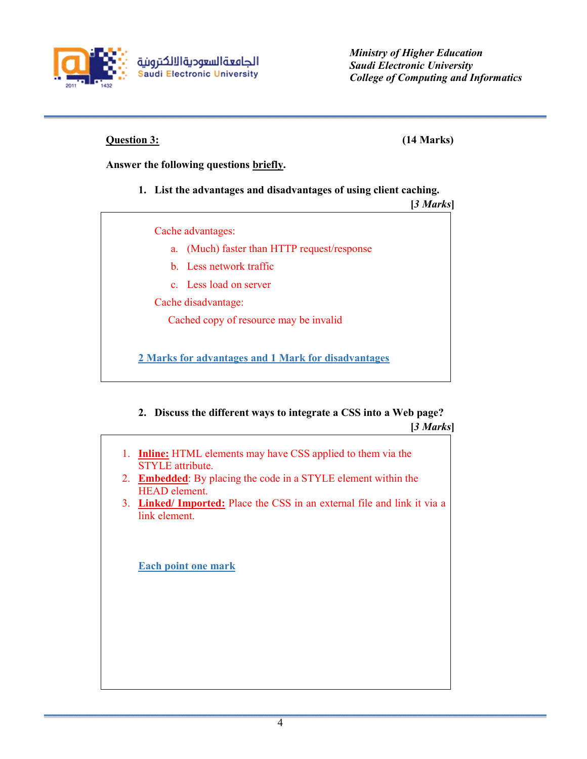

**Question 3: (14 Marks)**

## **Answer the following questions briefly.**

## **1. List the advantages and disadvantages of using client caching.**

**[***3 Marks***]** Cache advantages: a. (Much) faster than HTTP request/response b. Less network traffic c. Less load on server Cache disadvantage: Cached copy of resource may be invalid **2 Marks for advantages and 1 Mark for disadvantages** 

## **2. Discuss the different ways to integrate a CSS into a Web page?**

|         | [3 Marks]                                                                                       |
|---------|-------------------------------------------------------------------------------------------------|
|         | 1. <b>Inline:</b> HTML elements may have CSS applied to them via the<br><b>STYLE</b> attribute. |
| $2_{1}$ | <b>Embedded:</b> By placing the code in a STYLE element within the<br><b>HEAD</b> element.      |
|         | 3. Linked/Imported: Place the CSS in an external file and link it via a<br>link element.        |
|         | <b>Each point one mark</b>                                                                      |
|         |                                                                                                 |
|         |                                                                                                 |
|         |                                                                                                 |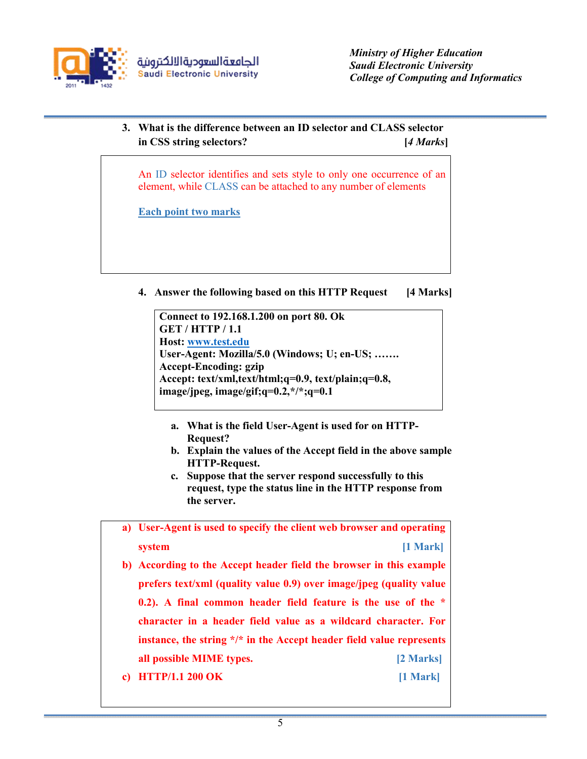

## **3. What is the difference between an ID selector and CLASS selector in CSS string selectors? [***4 Marks***]**

An ID selector identifies and sets style to only one occurrence of an element, while CLASS can be attached to any number of elements

**Each point two marks**

**4. Answer the following based on this HTTP Request [4 Marks]**

**Connect to 192.168.1.200 on port 80. Ok GET / HTTP / 1.1 Host: www.test.edu User-Agent: Mozilla/5.0 (Windows; U; en-US; ……. Accept-Encoding: gzip Accept: text/xml,text/html;q=0.9, text/plain;q=0.8, image/jpeg, image/gif;q=0.2,\*/\*;q=0.1**

- **a. What is the field User-Agent is used for on HTTP-Request?**
- **b. Explain the values of the Accept field in the above sample HTTP-Request.**
- **c. Suppose that the server respond successfully to this request, type the status line in the HTTP response from the server.**

**a) User-Agent is used to specify the client web browser and operating system** [1 Mark]

- **b) According to the Accept header field the browser in this example prefers text/xml (quality value 0.9) over image/jpeg (quality value 0.2). A final common header field feature is the use of the \* character in a header field value as a wildcard character. For instance, the string \*/\* in the Accept header field value represents all possible MIME types. [2 Marks]**
- **c) HTTP/1.1 200 OK [1 Mark]**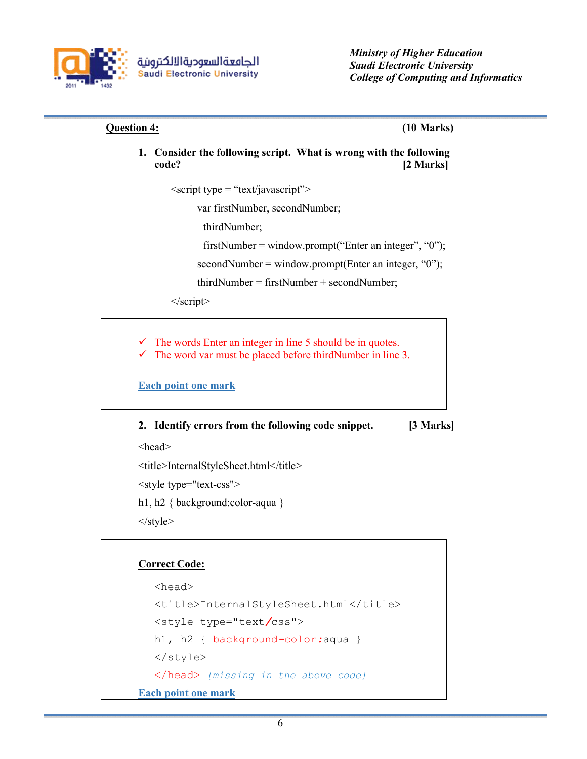

## **Question 4: (10 Marks)**

**1. Consider the following script. What is wrong with the following code? [2 Marks]**

 $\langle$ script type = "text/javascript">

var firstNumber, secondNumber;

thirdNumber;

firstNumber = window.prompt("Enter an integer", "0");

 $secondNumber = window.prompt(Enter an integer, "0");$ 

thirdNumber = firstNumber + secondNumber;

</script>

 The words Enter an integer in line 5 should be in quotes.  $\checkmark$  The word var must be placed before thirdNumber in line 3.

**Each point one mark**

## **2. Identify errors from the following code snippet. [3 Marks]**

<head>

<title>InternalStyleSheet.html</title>

<style type="text-css">

h1, h2 { background:color-aqua }

</style>

## **Correct Code:**

```
<head>
  <title>InternalStyleSheet.html</title>
  <style type="text/css">
  h1, h2 { background-color:aqua }
  </style>
  </head> {missing in the above code}
Each point one mark
```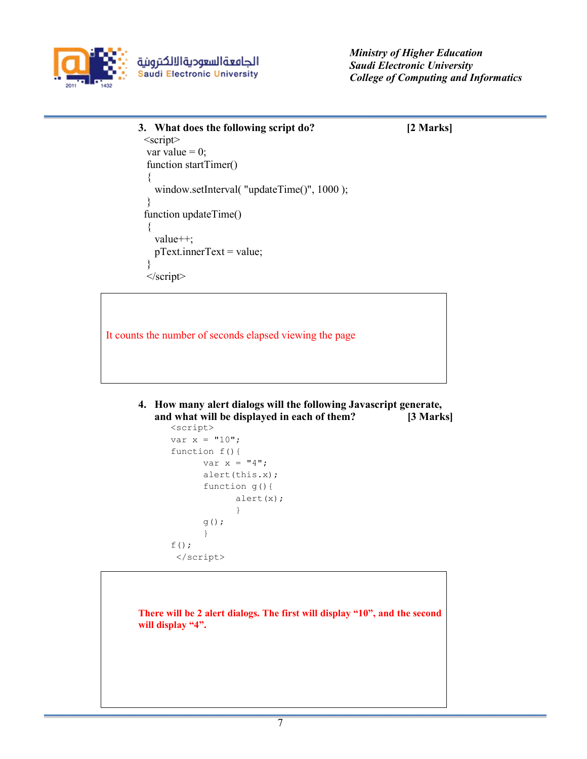

```
3. What does the following script do? [2 Marks]
  <script>
  var value = 0;
  function startTimer()
   {
   window.setInterval( "updateTime()", 1000 );
   }
  function updateTime()
   {
    value++;
    pText.innerText = value;
   }
   </script>
```
It counts the number of seconds elapsed viewing the page

**4. How many alert dialogs will the following Javascript generate, and what will be displayed in each of them? [3 Marks]**

```
<script>
var x = "10";function f(){ 
      var x = "4";alert(this.x);
      function g(){
            alert(x);
            }
      g();
      }
f();
 </script>
```
**There will be 2 alert dialogs. The first will display "10", and the second will display "4".**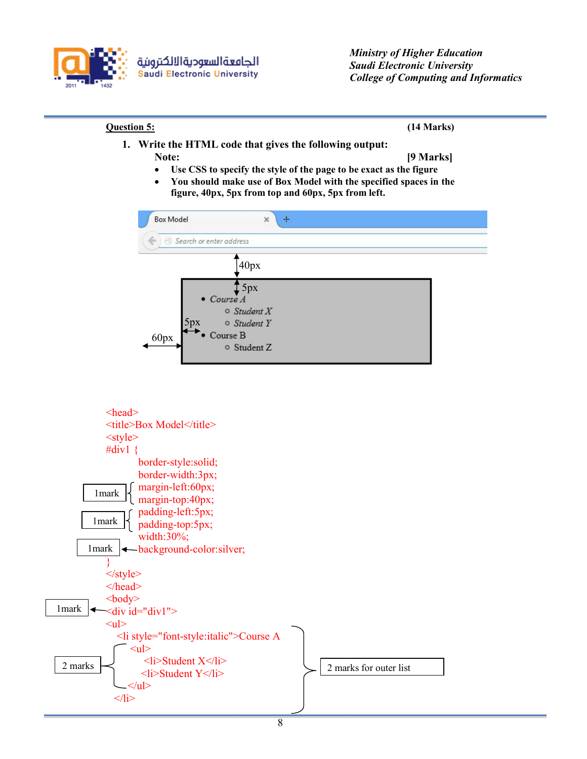



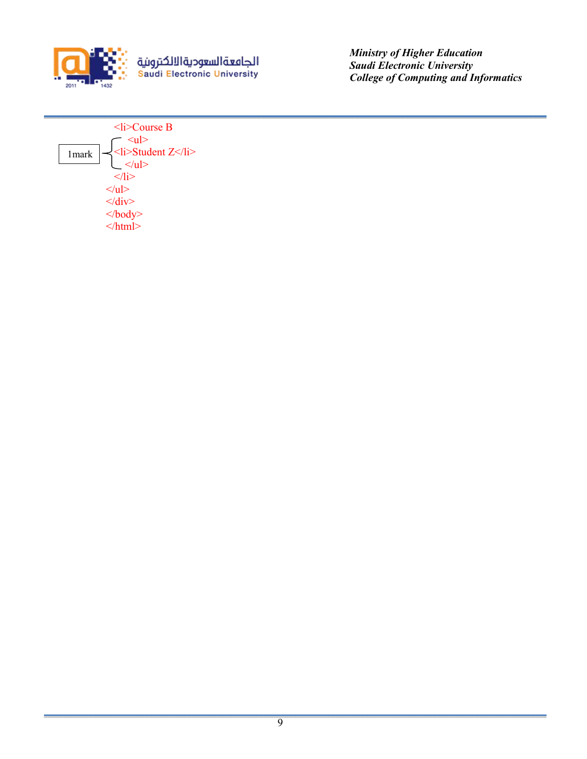

<mark>الجامعةالس<del>ع</del>وديةالالكترونية</mark><br>Saudi Electronic University

 *Ministry of Higher Education Saudi Electronic University College of Computing and Informatics*

 <li>Course B  $\langle$ ul $>$  $\leq$ li>Student Z $\leq$ /li>  $\langle \text{u} \rangle$  $\langle$ /li $\rangle$  $<$ /ul $>$  $\langle$ div $>$  $<$ /body>  $\le$ /html> 1mark